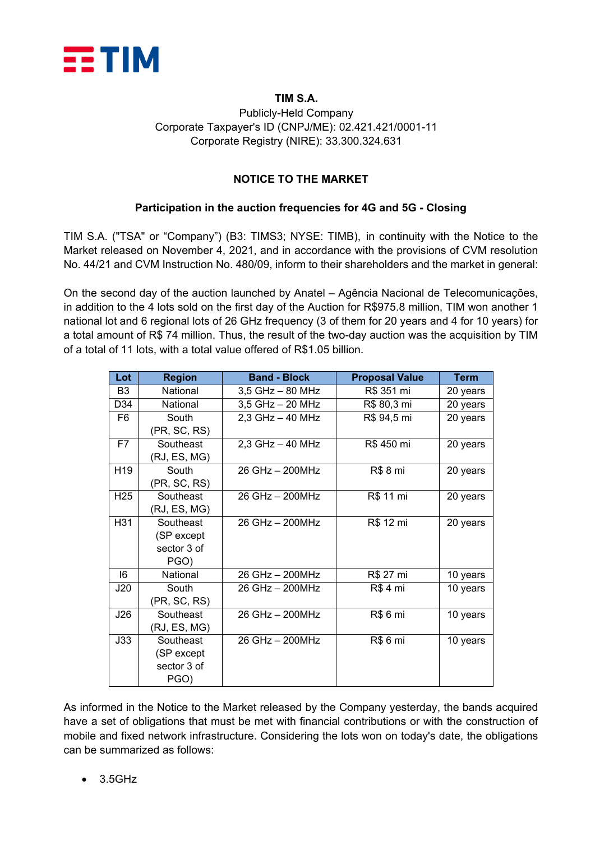

#### **TIM S.A.**

### Publicly-Held Company Corporate Taxpayer's ID (CNPJ/ME): 02.421.421/0001-11 Corporate Registry (NIRE): 33.300.324.631

#### **NOTICE TO THE MARKET**

#### **Participation in the auction frequencies for 4G and 5G - Closing**

TIM S.A. ("TSA" or "Company") (B3: TIMS3; NYSE: TIMB), in continuity with the Notice to the Market released on November 4, 2021, and in accordance with the provisions of CVM resolution No. 44/21 and CVM Instruction No. 480/09, inform to their shareholders and the market in general:

On the second day of the auction launched by Anatel – Agência Nacional de Telecomunicações, in addition to the 4 lots sold on the first day of the Auction for R\$975.8 million, TIM won another 1 national lot and 6 regional lots of 26 GHz frequency (3 of them for 20 years and 4 for 10 years) for a total amount of R\$ 74 million. Thus, the result of the two-day auction was the acquisition by TIM of a total of 11 lots, with a total value offered of R\$1.05 billion.

| Lot             | <b>Region</b> | <b>Band - Block</b>                | <b>Proposal Value</b> | Term     |
|-----------------|---------------|------------------------------------|-----------------------|----------|
| B <sub>3</sub>  | National      | $3,5$ GHz $-$ 80 MHz<br>R\$ 351 mi |                       | 20 years |
| D34             | National      | 3,5 GHz - 20 MHz                   | R\$ 80,3 mi           | 20 years |
| F6              | South         | $2,3$ GHz $-$ 40 MHz               | R\$ 94,5 mi           | 20 years |
|                 | (PR, SC, RS)  |                                    |                       |          |
| F7              | Southeast     | R\$ 450 mi<br>$2,3$ GHz $-$ 40 MHz |                       | 20 years |
|                 | (RJ, ES, MG)  |                                    |                       |          |
| H <sub>19</sub> | South         | 26 GHz - 200MHz                    | R\$ 8 mi              | 20 years |
|                 | (PR, SC, RS)  |                                    |                       |          |
| H <sub>25</sub> | Southeast     | 26 GHz - 200MHz                    | R\$ 11 mi             | 20 years |
|                 | (RJ, ES, MG)  |                                    |                       |          |
| H31             | Southeast     | 26 GHz - 200MHz                    | R\$ 12 mi             | 20 years |
|                 | (SP except    |                                    |                       |          |
|                 | sector 3 of   |                                    |                       |          |
|                 | PGO)          |                                    |                       |          |
| 16              | National      | 26 GHz - 200MHz                    | R\$ 27 mi             | 10 years |
| J20             | South         | 26 GHz - 200MHz                    | R\$ 4 mi              | 10 years |
|                 | (PR, SC, RS)  |                                    |                       |          |
| J26             | Southeast     | 26 GHz - 200MHz                    | R\$ 6 mi              | 10 years |
|                 | (RJ, ES, MG)  |                                    |                       |          |
| J33             | Southeast     | 26 GHz - 200MHz                    | <b>R\$6 mi</b>        | 10 years |
|                 | (SP except    |                                    |                       |          |
|                 | sector 3 of   |                                    |                       |          |
|                 | PGO)          |                                    |                       |          |

As informed in the Notice to the Market released by the Company yesterday, the bands acquired have a set of obligations that must be met with financial contributions or with the construction of mobile and fixed network infrastructure. Considering the lots won on today's date, the obligations can be summarized as follows:

• 3.5GHz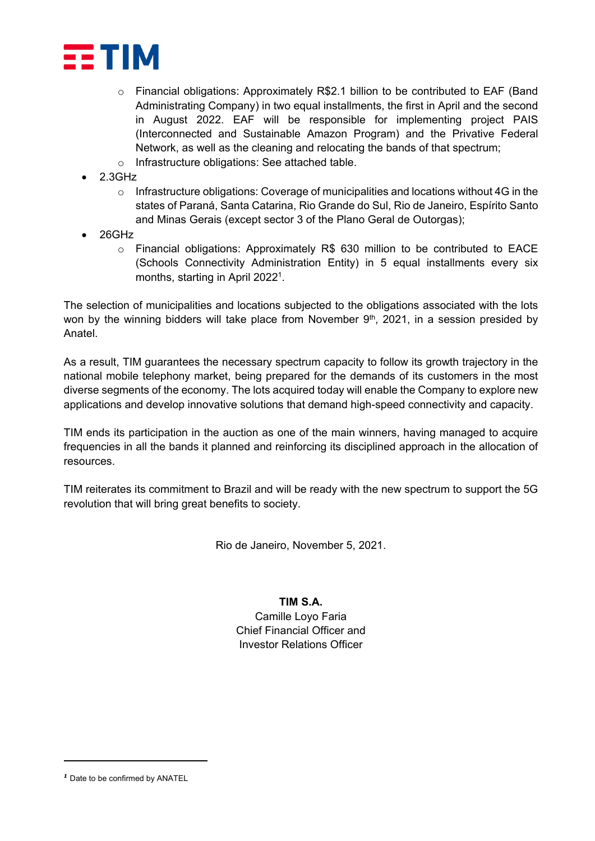

- o Financial obligations: Approximately R\$2.1 billion to be contributed to EAF (Band Administrating Company) in two equal installments, the first in April and the second in August 2022. EAF will be responsible for implementing project PAIS (Interconnected and Sustainable Amazon Program) and the Privative Federal Network, as well as the cleaning and relocating the bands of that spectrum;
- o Infrastructure obligations: See attached table.
- 2.3GHz
	- o Infrastructure obligations: Coverage of municipalities and locations without 4G in the states of Paraná, Santa Catarina, Rio Grande do Sul, Rio de Janeiro, Espírito Santo and Minas Gerais (except sector 3 of the Plano Geral de Outorgas);
- 26GHz
	- $\circ$  Financial obligations: Approximately R\$ 630 million to be contributed to EACE (Schools Connectivity Administration Entity) in 5 equal installments every six months, starting in April 2022<sup>[1](#page-1-0)</sup>.

The selection of municipalities and locations subjected to the obligations associated with the lots won by the winning bidders will take place from November 9<sup>th</sup>, 2021, in a session presided by Anatel.

As a result, TIM guarantees the necessary spectrum capacity to follow its growth trajectory in the national mobile telephony market, being prepared for the demands of its customers in the most diverse segments of the economy. The lots acquired today will enable the Company to explore new applications and develop innovative solutions that demand high-speed connectivity and capacity.

TIM ends its participation in the auction as one of the main winners, having managed to acquire frequencies in all the bands it planned and reinforcing its disciplined approach in the allocation of resources.

TIM reiterates its commitment to Brazil and will be ready with the new spectrum to support the 5G revolution that will bring great benefits to society.

Rio de Janeiro, November 5, 2021.

#### **TIM S.A.**

Camille Loyo Faria Chief Financial Officer and Investor Relations Officer

<span id="page-1-0"></span>*<sup>1</sup>* Date to be confirmed by ANATEL